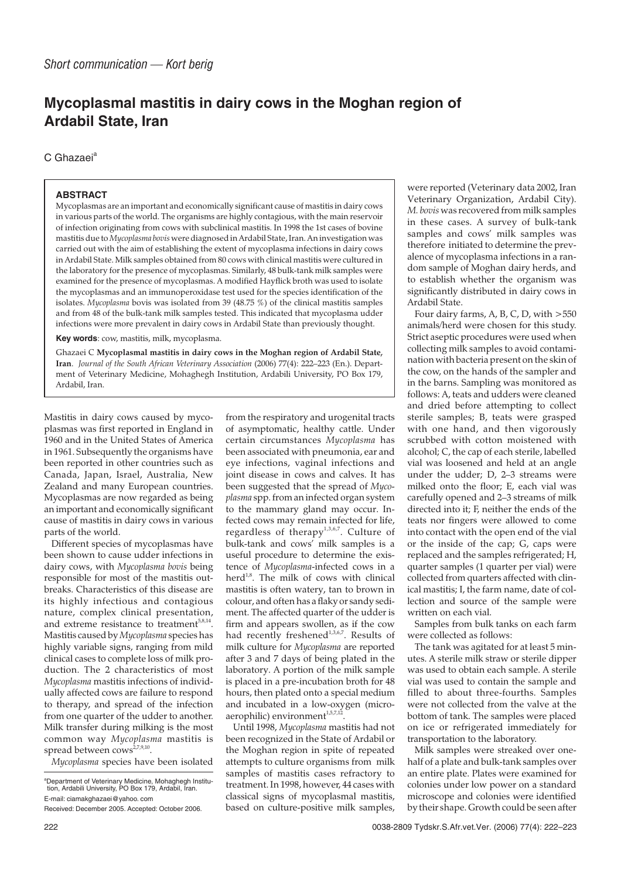# **Mycoplasmal mastitis in dairy cows in the Moghan region of Ardabil State, Iran**

## C Ghazaei<sup>e</sup>

## **ABSTRACT**

Mycoplasmas are an important and economically significant cause of mastitis in dairy cows in various parts of the world. The organisms are highly contagious, with the main reservoir of infection originating from cows with subclinical mastitis. In 1998 the 1st cases of bovine mastitis due to*Mycoplasma bovis* were diagnosed in Ardabil State, Iran. An investigation was carried out with the aim of establishing the extent of mycoplasma infections in dairy cows in Ardabil State. Milk samples obtained from 80 cows with clinical mastitis were cultured in the laboratory for the presence of mycoplasmas. Similarly, 48 bulk-tank milk samples were examined for the presence of mycoplasmas. A modified Hayflick broth was used to isolate the mycoplasmas and an immunoperoxidase test used for the species identification of the isolates. *Mycoplasma* bovis was isolated from 39 (48.75 %) of the clinical mastitis samples and from 48 of the bulk-tank milk samples tested. This indicated that mycoplasma udder infections were more prevalent in dairy cows in Ardabil State than previously thought.

**Key words**: cow, mastitis, milk, mycoplasma.

Ghazaei C **Mycoplasmal mastitis in dairy cows in the Moghan region of Ardabil State, Iran**. *Journal of the South African Veterinary Association* (2006) 77(4): 222–223 (En.). Department of Veterinary Medicine, Mohaghegh Institution, Ardabili University, PO Box 179, Ardabil, Iran.

Mastitis in dairy cows caused by mycoplasmas was first reported in England in 1960 and in the United States of America in 1961. Subsequently the organisms have been reported in other countries such as Canada, Japan, Israel, Australia, New Zealand and many European countries. Mycoplasmas are now regarded as being an important and economically significant cause of mastitis in dairy cows in various parts of the world.

Different species of mycoplasmas have been shown to cause udder infections in dairy cows, with *Mycoplasma bovis* being responsible for most of the mastitis outbreaks. Characteristics of this disease are its highly infectious and contagious nature, complex clinical presentation, and extreme resistance to treatment<sup>5,8,14</sup>. Mastitis caused by*Mycoplasma* species has highly variable signs, ranging from mild clinical cases to complete loss of milk production. The 2 characteristics of most *Mycoplasma* mastitis infections of individually affected cows are failure to respond to therapy, and spread of the infection from one quarter of the udder to another. Milk transfer during milking is the most common way *Mycoplasma* mastitis is spread between cows<sup>2,7,9,10</sup>

*Mycoplasma* species have been isolated

from the respiratory and urogenital tracts of asymptomatic, healthy cattle. Under certain circumstances *Mycoplasma* has been associated with pneumonia, ear and eye infections, vaginal infections and joint disease in cows and calves. It has been suggested that the spread of *Mycoplasma* spp. from an infected organ system to the mammary gland may occur. Infected cows may remain infected for life, regardless of therapy<sup>1,3,6,7</sup>. Culture of bulk-tank and cows' milk samples is a useful procedure to determine the existence of *Mycoplasma*-infected cows in a herd<sup>1,8</sup>. The milk of cows with clinical mastitis is often watery, tan to brown in colour, and often has a flaky or sandy sediment. The affected quarter of the udder is firm and appears swollen, as if the cow had recently freshened<sup>1,3,6,7</sup>. Results of milk culture for *Mycoplasma* are reported after 3 and 7 days of being plated in the laboratory. A portion of the milk sample is placed in a pre-incubation broth for 48 hours, then plated onto a special medium and incubated in a low-oxygen (microaerophilic) environment $1,5,7,1$ 

Until 1998, *Mycoplasma* mastitis had not been recognized in the State of Ardabil or the Moghan region in spite of repeated attempts to culture organisms from milk samples of mastitis cases refractory to treatment. In 1998, however, 44 cases with classical signs of mycoplasmal mastitis, based on culture-positive milk samples,

were reported (Veterinary data 2002, Iran Veterinary Organization, Ardabil City). *M. bovis* was recovered from milk samples in these cases. A survey of bulk-tank samples and cows' milk samples was therefore initiated to determine the prevalence of mycoplasma infections in a random sample of Moghan dairy herds, and to establish whether the organism was significantly distributed in dairy cows in Ardabil State.

Four dairy farms, A, B, C, D, with >550 animals/herd were chosen for this study. Strict aseptic procedures were used when collecting milk samples to avoid contamination with bacteria present on the skin of the cow, on the hands of the sampler and in the barns. Sampling was monitored as follows: A, teats and udders were cleaned and dried before attempting to collect sterile samples; B, teats were grasped with one hand, and then vigorously scrubbed with cotton moistened with alcohol; C, the cap of each sterile, labelled vial was loosened and held at an angle under the udder; D, 2–3 streams were milked onto the floor; E, each vial was carefully opened and 2–3 streams of milk directed into it; F, neither the ends of the teats nor fingers were allowed to come into contact with the open end of the vial or the inside of the cap; G, caps were replaced and the samples refrigerated; H, quarter samples (1 quarter per vial) were collected from quarters affected with clinical mastitis; I, the farm name, date of collection and source of the sample were written on each vial.

Samples from bulk tanks on each farm were collected as follows:

The tank was agitated for at least 5 minutes. A sterile milk straw or sterile dipper was used to obtain each sample. A sterile vial was used to contain the sample and filled to about three-fourths. Samples were not collected from the valve at the bottom of tank. The samples were placed on ice or refrigerated immediately for transportation to the laboratory.

Milk samples were streaked over onehalf of a plate and bulk-tank samples over an entire plate. Plates were examined for colonies under low power on a standard microscope and colonies were identified by their shape. Growth could be seen after

a Department of Veterinary Medicine, Mohaghegh Institu-tion, Ardabili University, PO Box 179, Ardabil, Iran. E-mail: ciamakghazaei@yahoo. com

Received: December 2005. Accepted: October 2006.